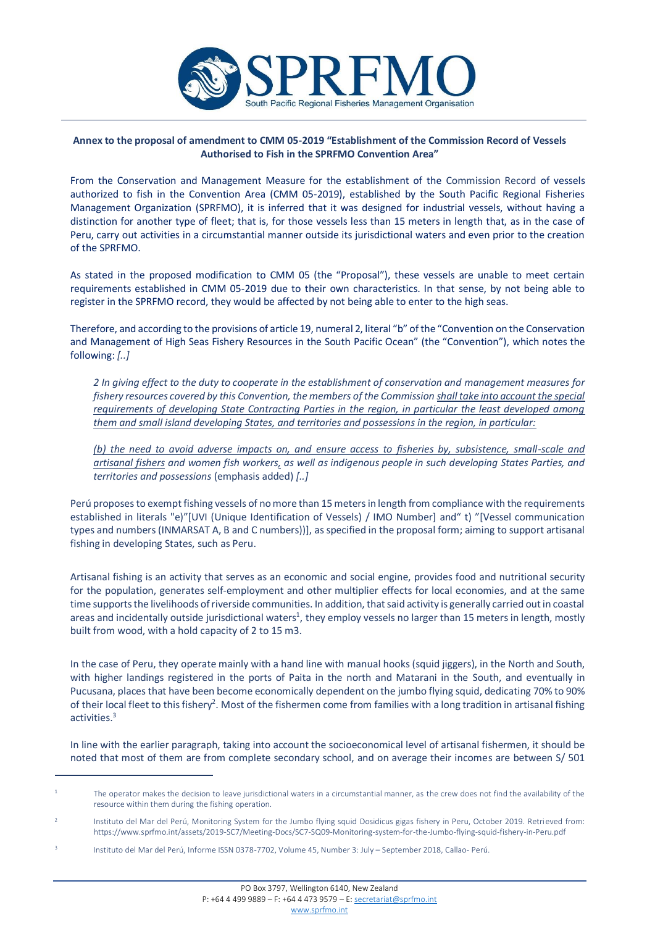

## **Annex to the proposal of amendment to CMM 05-2019 "Establishment of the Commission Record of Vessels Authorised to Fish in the SPRFMO Convention Area"**

From the Conservation and Management Measure for the establishment of the Commission Record of vessels authorized to fish in the Convention Area (CMM 05-2019), established by the South Pacific Regional Fisheries Management Organization (SPRFMO), it is inferred that it was designed for industrial vessels, without having a distinction for another type of fleet; that is, for those vessels less than 15 meters in length that, as in the case of Peru, carry out activities in a circumstantial manner outside its jurisdictional waters and even prior to the creation of the SPRFMO.

As stated in the proposed modification to CMM 05 (the "Proposal"), these vessels are unable to meet certain requirements established in CMM 05-2019 due to their own characteristics. In that sense, by not being able to register in the SPRFMO record, they would be affected by not being able to enter to the high seas.

Therefore, and according to the provisions of article 19, numeral 2, literal "b" of the "Convention on the Conservation and Management of High Seas Fishery Resources in the South Pacific Ocean" (the "Convention"), which notes the following: *[..]*

*2 In giving effect to the duty to cooperate in the establishment of conservation and management measures for fishery resources covered by this Convention, the members of the Commission shall take into account the special requirements of developing State Contracting Parties in the region, in particular the least developed among them and small island developing States, and territories and possessions in the region, in particular:* 

*(b) the need to avoid adverse impacts on, and ensure access to fisheries by, subsistence, small-scale and artisanal fishers and women fish workers, as well as indigenous people in such developing States Parties, and territories and possessions* (emphasis added) *[..]*

Perú proposes to exempt fishing vessels of no more than 15 meters in length from compliance with the requirements established in literals "e)"[UVI (Unique Identification of Vessels) / IMO Number] and" t) "[Vessel communication types and numbers (INMARSAT A, B and C numbers))], as specified in the proposal form; aiming to support artisanal fishing in developing States, such as Peru.

Artisanal fishing is an activity that serves as an economic and social engine, provides food and nutritional security for the population, generates self-employment and other multiplier effects for local economies, and at the same time supports the livelihoods of riverside communities. In addition, that said activity is generally carried out in coastal areas and incidentally outside jurisdictional waters<sup>1</sup>, they employ vessels no larger than 15 meters in length, mostly built from wood, with a hold capacity of 2 to 15 m3.

In the case of Peru, they operate mainly with a hand line with manual hooks (squid jiggers), in the North and South, with higher landings registered in the ports of Paita in the north and Matarani in the South, and eventually in Pucusana, places that have been become economically dependent on the jumbo flying squid, dedicating 70% to 90% of their local fleet to this fishery<sup>2</sup>. Most of the fishermen come from families with a long tradition in artisanal fishing activities.<sup>3</sup>

In line with the earlier paragraph, taking into account the socioeconomical level of artisanal fishermen, it should be noted that most of them are from complete secondary school, and on average their incomes are between S/ 501

The operator makes the decision to leave jurisdictional waters in a circumstantial manner, as the crew does not find the availability of the resource within them during the fishing operation.

<sup>2</sup> Instituto del Mar del Perú, Monitoring System for the Jumbo flying squid Dosidicus gigas fishery in Peru, October 2019. Retri eved from: https://www.sprfmo.int/assets/2019-SC7/Meeting-Docs/SC7-SQ09-Monitoring-system-for-the-Jumbo-flying-squid-fishery-in-Peru.pdf

<sup>3</sup> Instituto del Mar del Perú, Informe ISSN 0378-7702, Volume 45, Number 3: July – September 2018, Callao- Perú.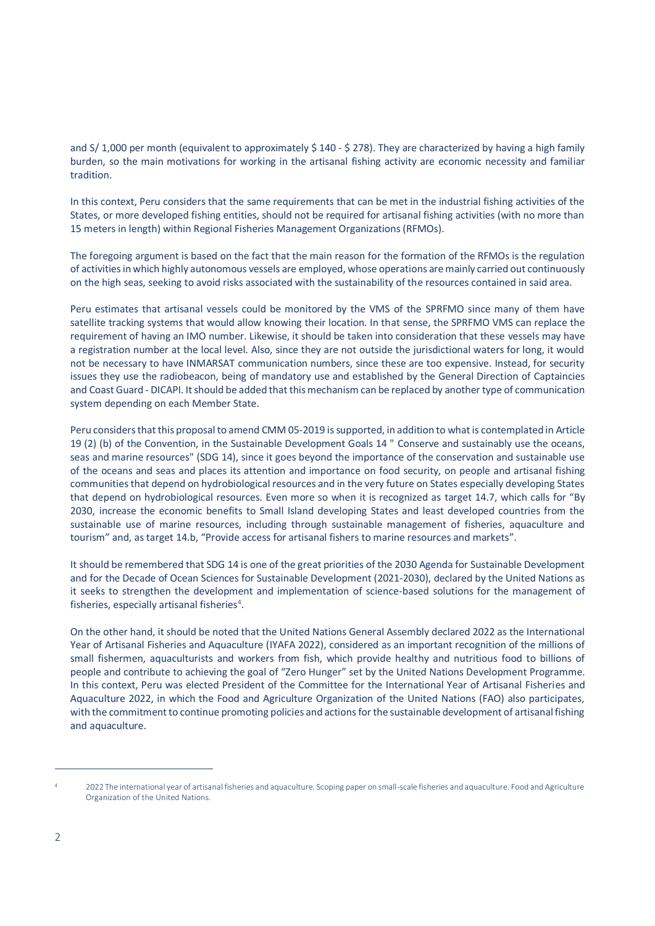and S/ 1,000 per month (equivalent to approximately \$ 140 - \$ 278). They are characterized by having a high family burden, so the main motivations for working in the artisanal fishing activity are economic necessity and familiar tradition.

In this context, Peru considers that the same requirements that can be met in the industrial fishing activities of the States, or more developed fishing entities, should not be required for artisanal fishing activities (with no more than 15 meters in length) within Regional Fisheries Management Organizations (RFMOs).

The foregoing argument is based on the fact that the main reason for the formation of the RFMOs is the regulation of activities in which highly autonomous vessels are employed, whose operations are mainly carried out continuously on the high seas, seeking to avoid risks associated with the sustainability of the resources contained in said area.

Peru estimates that artisanal vessels could be monitored by the VMS of the SPRFMO since many of them have satellite tracking systems that would allow knowing their location. In that sense, the SPRFMO VMS can replace the requirement of having an IMO number. Likewise, it should be taken into consideration that these vessels may have a registration number at the local level. Also, since they are not outside the jurisdictional waters for long, it would not be necessary to have INMARSAT communication numbers, since these are too expensive. Instead, for security issues they use the radiobeacon, being of mandatory use and established by the General Direction of Captaincies and Coast Guard - DICAPI. It should be added that this mechanism can be replaced by another type of communication system depending on each Member State.

Peru considers that this proposal to amend CMM 05-2019 is supported, in addition to what is contemplated in Article 19 (2) (b) of the Convention, in the Sustainable Development Goals 14 " Conserve and sustainably use the oceans, seas and marine resources" (SDG 14), since it goes beyond the importance of the conservation and sustainable use of the oceans and seas and places its attention and importance on food security, on people and artisanal fishing communities that depend on hydrobiological resources and in the very future on States especially developing States that depend on hydrobiological resources. Even more so when it is recognized as target 14.7, which calls for "By 2030, increase the economic benefits to Small Island developing States and least developed countries from the sustainable use of marine resources, including through sustainable management of fisheries, aquaculture and tourism" and, as target 14.b, "Provide access for artisanal fishers to marine resources and markets".

It should be remembered that SDG 14 is one of the great priorities of the 2030 Agenda for Sustainable Development and for the Decade of Ocean Sciences for Sustainable Development (2021-2030), declared by the United Nations as it seeks to strengthen the development and implementation of science-based solutions for the management of fisheries, especially artisanal fisheries<sup>4</sup>.

On the other hand, it should be noted that the United Nations General Assembly declared 2022 as the International Year of Artisanal Fisheries and Aquaculture (IYAFA 2022), considered as an important recognition of the millions of small fishermen, aquaculturists and workers from fish, which provide healthy and nutritious food to billions of people and contribute to achieving the goal of "Zero Hunger" set by the United Nations Development Programme. In this context, Peru was elected President of the Committee for the International Year of Artisanal Fisheries and Aquaculture 2022, in which the Food and Agriculture Organization of the United Nations (FAO) also participates, with the commitment to continue promoting policies and actions for the sustainable development of artisanal fishing and aquaculture.

<sup>4 2022</sup> The international year of artisanal fisheries and aquaculture. Scoping paper on small-scale fisheries and aquaculture. Food and Agriculture Organization of the United Nations.